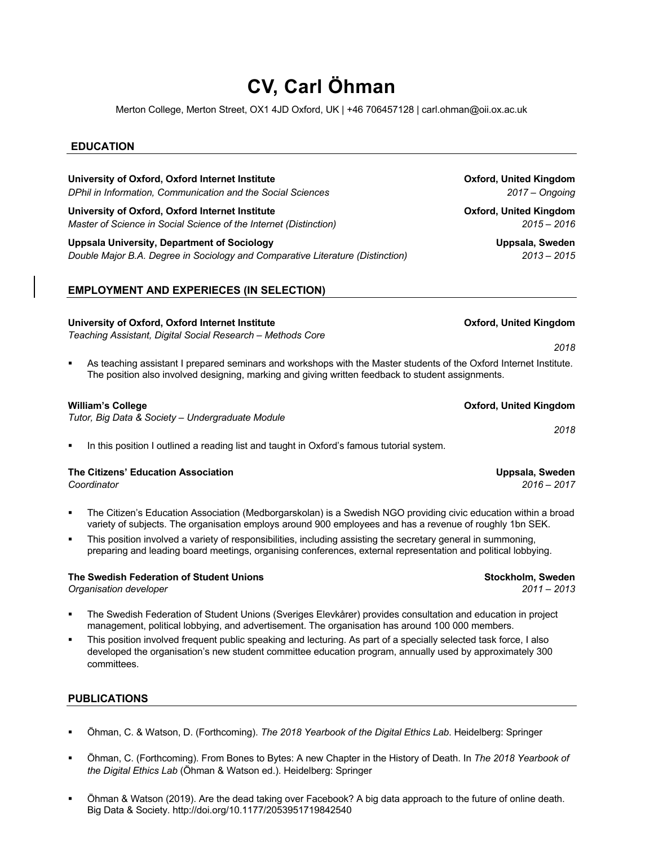# **CV, Carl Öhman**

Merton College, Merton Street, OX1 4JD Oxford, UK | +46 706457128 | carl.ohman@oii.ox.ac.uk

## **EDUCATION**

**University of Oxford, Oxford Internet Institute Community Community Construction Construction Construction Community Construction Community Community Community Community Community Community Community Community Community C** *DPhil in Information, Communication and the Social Sciences 2017 – Ongoing*

**University of Oxford, Oxford Internet Institute Oxford, United Kingdom** *Master of Science in Social Science of the Internet (Distinction) 2015 – 2016*

**Uppsala University, Department of Sociology Uppsala, Sweden** *Double Major B.A. Degree in Sociology and Comparative Literature (Distinction) 2013 – 2015*

# **EMPLOYMENT AND EXPERIECES (IN SELECTION)**

## **University of Oxford, Oxford Internet Institute Oxford, United Kingdom**

*Teaching Assistant, Digital Social Research – Methods Core*

As teaching assistant I prepared seminars and workshops with the Master students of the Oxford Internet Institute. The position also involved designing, marking and giving written feedback to student assignments.

#### **William's College College College College College College College College College College College College College**

*Tutor, Big Data & Society – Undergraduate Module*

In this position I outlined a reading list and taught in Oxford's famous tutorial system.

#### **The Citizens' Education Association Uppsala, Sweden**

- § The Citizen's Education Association (Medborgarskolan) is a Swedish NGO providing civic education within a broad variety of subjects. The organisation employs around 900 employees and has a revenue of roughly 1bn SEK.
- This position involved a variety of responsibilities, including assisting the secretary general in summoning, preparing and leading board meetings, organising conferences, external representation and political lobbying.

#### The Swedish Federation of Student Unions **Stockholm, Sweden** Stockholm, Sweden

*Organisation developer 2011 – 2013*

- § The Swedish Federation of Student Unions (Sveriges Elevkårer) provides consultation and education in project management, political lobbying, and advertisement. The organisation has around 100 000 members.
- This position involved frequent public speaking and lecturing. As part of a specially selected task force, I also developed the organisation's new student committee education program, annually used by approximately 300 committees.

# **PUBLICATIONS**

- § Öhman, C. & Watson, D. (Forthcoming). *The 2018 Yearbook of the Digital Ethics Lab*. Heidelberg: Springer
- § Öhman, C. (Forthcoming). From Bones to Bytes: A new Chapter in the History of Death. In *The 2018 Yearbook of the Digital Ethics Lab* (Öhman & Watson ed.). Heidelberg: Springer
- § Öhman & Watson (2019). Are the dead taking over Facebook? A big data approach to the future of online death. Big Data & Society. http://doi.org/10.1177/2053951719842540

*2018*

*Coordinator 2016 – 2017*

*2018*